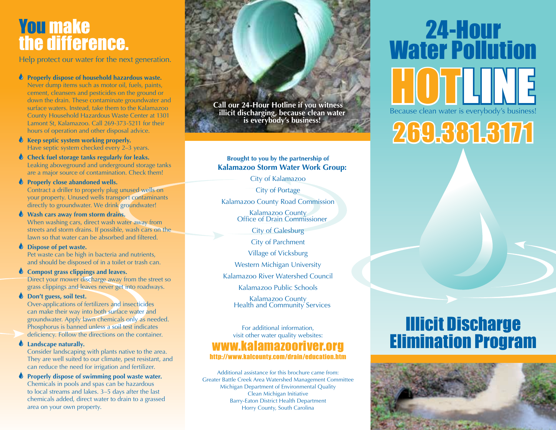## You make the difference.

Help protect our water for the next generation.

### **Properly dispose of household hazardous waste.**

Never dump items such as motor oil, fuels, paints, cement, cleansers and pesticides on the ground or down the drain. These contaminate groundwater and surface waters. Instead, take them to the Kalamazoo County Household Hazardous Waste Center at 1301 Lamont St, Kalamazoo. Call 269-373-5211 for their hours of operation and other disposal advice.

**Keep septic system working properly.** Have septic system checked every 2–3 years.

**Check fuel storage tanks regularly for leaks.** Leaking aboveground and underground storage tanks are a major source of contamination. Check them!

 $\bullet$  Properly close abandoned wells. Contract a driller to properly plug unused wells on your property. Unused wells transport contaminants directly to groundwater. We drink groundwater!

**Wash cars away from storm drains.** When washing cars, direct wash water away from streets and storm drains. If possible, wash cars on the lawn so that water can be absorbed and filtered.

#### **Dispose of pet waste.**

Pet waste can be high in bacteria and nutrients, and should be disposed of in a toilet or trash can.

### **Compost grass clippings and leaves.**

Direct your mower discharge away from the street so grass clippings and leaves never get into roadways.

### **b** Don't guess, soil test.

Over-applications of fertilizers and insecticides can make their way into both surface water and groundwater. Apply lawn chemicals only as needed. Phosphorus is banned unless a soil test indicates deficiency. Follow the directions on the container.

### **Landscape naturally.**

Consider landscaping with plants native to the area. They are well suited to our climate, pest resistant, and can reduce the need for irrigation and fertilizer.

 $\bullet$  Properly dispose of swimming pool waste water. Chemicals in pools and spas can be hazardous to local streams and lakes. 3–5 days after the last chemicals added, direct water to drain to a grassed area on your own property.



### **Brought to you by the partnership of Kalamazoo Storm Water Work Group:**

City of Kalamazoo

City of Portage

Kalamazoo County Road Commission

Kalamazoo County Office of Drain Commissioner

City of Galesburg

City of Parchment

Village of Vicksburg

Western Michigan University

Kalamazoo River Watershed Council

Kalamazoo Public Schools

Kalamazoo County Health and Community Services

### For additional information, visit other water quality websites: www.kalamazooriver.org http://www.kalcounty.com/drain/education.htm

Additional assistance for this brochure came from: Greater Battle Creek Area Watershed Management Committee Michigan Department of Environmental Quality Clean Michigan Initiative Barry-Eaton District Health Department Horry County, South Carolina

# 24-Hour Water Pollution Because clean water is everybody's business!

# 269.381.3171

## Illicit Discharge Elimination Program